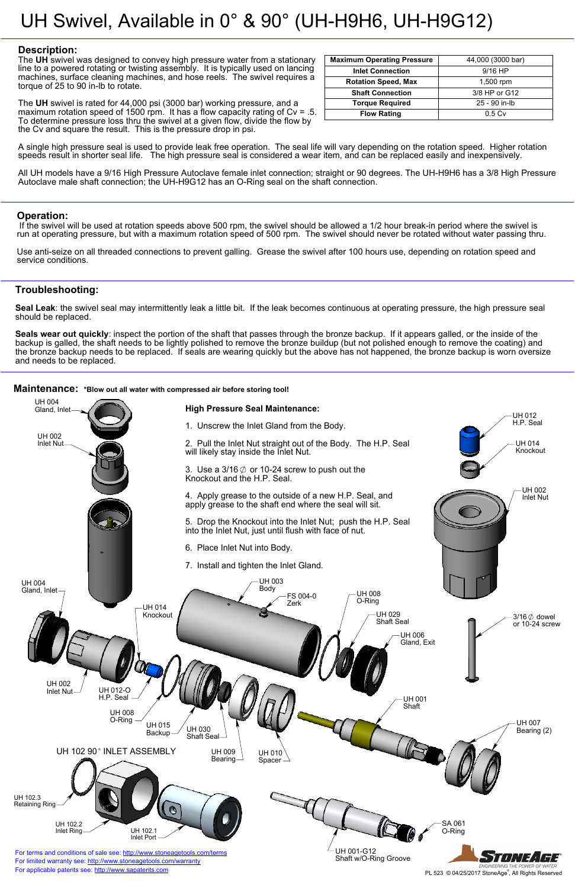## **Description:**

The **UH** swivel was designed to convey high pressure water from a stationary line to a powered rotating or twisting assembly. It is typically used on lancing machines, surface cleaning machines, and hose reels. The swivel requires a torque of 25 to 90 in-lb to rotate.

The **UH** swivel is rated for 44,000 psi (3000 bar) working pressure, and a maximum rotation speed of 1500 rpm. It has a flow capacity rating of Cv = .5. To determine pressure loss thru the swivel at a given flow, divide the flow by the Cv and square the result. This is the pressure drop in psi.



A single high pressure seal is used to provide leak free operation. The seal life will vary depending on the rotation speed. Higher rotation speeds result in shorter seal life. The high pressure seal is considered a wear item, and can be replaced easily and inexpensively.

All UH models have a 9/16 High Pressure Autoclave female inlet connection; straight or 90 degrees. The UH-H9H6 has a 3/8 High Pressure Autoclave male shaft connection; the UH-H9G12 has an O-Ring seal on the shaft connection.

## **Operation:**

 If the swivel will be used at rotation speeds above 500 rpm, the swivel should be allowed a 1/2 hour break-in period where the swivel is run at operating pressure, but with a maximum rotation speed of 500 rpm. The swivel should never be rotated without water passing thru.

Use anti-seize on all threaded connections to prevent galling. Grease the swivel after 100 hours use, depending on rotation speed and service conditions.

# **Troubleshooting:**

**Seal Leak**: the swivel seal may intermittently leak a little bit. If the leak becomes continuous at operating pressure, the high pressure seal should be replaced.

**Seals wear out quickly**: inspect the portion of the shaft that passes through the bronze backup. If it appears galled, or the inside of the backup is galled, the shaft needs to be lightly polished to remove the bronze buildup (but not polished enough to remove the coating) and the bronze backup needs to be replaced. If seals are wearing quickly but the above has not happened, the bronze backup is worn oversize and needs to be replaced.

#### **Maintenance:** \*Blow out all water with compressed air before storing tool!

| <b>Maximum Operating Pressure</b> | 44,000 (3000 bar) |
|-----------------------------------|-------------------|
| <b>Inlet Connection</b>           | $9/16$ HP         |
| <b>Rotation Speed, Max</b>        | 1,500 rpm         |
| <b>Shaft Connection</b>           | 3/8 HP or G12     |
| <b>Torque Required</b>            | 25 - 90 in-lb     |
| <b>Flow Rating</b>                | 0.5 <sub>Cv</sub> |